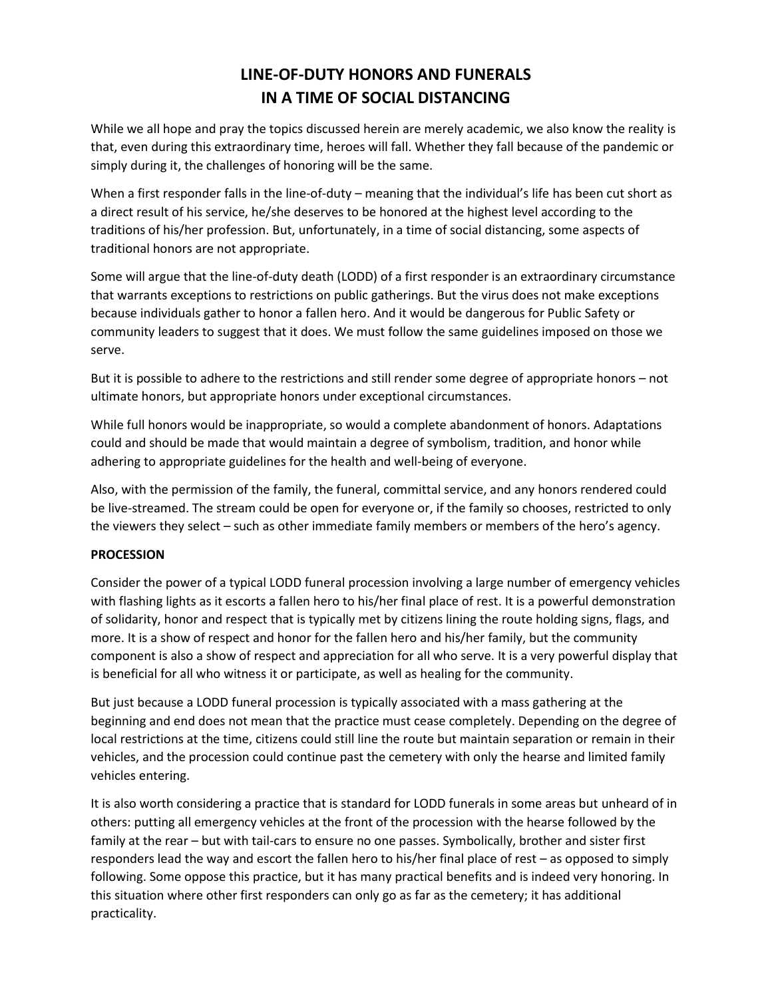# **LINE-OF-DUTY HONORS AND FUNERALS IN A TIME OF SOCIAL DISTANCING**

While we all hope and pray the topics discussed herein are merely academic, we also know the reality is that, even during this extraordinary time, heroes will fall. Whether they fall because of the pandemic or simply during it, the challenges of honoring will be the same.

When a first responder falls in the line-of-duty – meaning that the individual's life has been cut short as a direct result of his service, he/she deserves to be honored at the highest level according to the traditions of his/her profession. But, unfortunately, in a time of social distancing, some aspects of traditional honors are not appropriate.

Some will argue that the line-of-duty death (LODD) of a first responder is an extraordinary circumstance that warrants exceptions to restrictions on public gatherings. But the virus does not make exceptions because individuals gather to honor a fallen hero. And it would be dangerous for Public Safety or community leaders to suggest that it does. We must follow the same guidelines imposed on those we serve.

But it is possible to adhere to the restrictions and still render some degree of appropriate honors – not ultimate honors, but appropriate honors under exceptional circumstances.

While full honors would be inappropriate, so would a complete abandonment of honors. Adaptations could and should be made that would maintain a degree of symbolism, tradition, and honor while adhering to appropriate guidelines for the health and well-being of everyone.

Also, with the permission of the family, the funeral, committal service, and any honors rendered could be live-streamed. The stream could be open for everyone or, if the family so chooses, restricted to only the viewers they select – such as other immediate family members or members of the hero's agency.

# **PROCESSION**

Consider the power of a typical LODD funeral procession involving a large number of emergency vehicles with flashing lights as it escorts a fallen hero to his/her final place of rest. It is a powerful demonstration of solidarity, honor and respect that is typically met by citizens lining the route holding signs, flags, and more. It is a show of respect and honor for the fallen hero and his/her family, but the community component is also a show of respect and appreciation for all who serve. It is a very powerful display that is beneficial for all who witness it or participate, as well as healing for the community.

But just because a LODD funeral procession is typically associated with a mass gathering at the beginning and end does not mean that the practice must cease completely. Depending on the degree of local restrictions at the time, citizens could still line the route but maintain separation or remain in their vehicles, and the procession could continue past the cemetery with only the hearse and limited family vehicles entering.

It is also worth considering a practice that is standard for LODD funerals in some areas but unheard of in others: putting all emergency vehicles at the front of the procession with the hearse followed by the family at the rear – but with tail-cars to ensure no one passes. Symbolically, brother and sister first responders lead the way and escort the fallen hero to his/her final place of rest – as opposed to simply following. Some oppose this practice, but it has many practical benefits and is indeed very honoring. In this situation where other first responders can only go as far as the cemetery; it has additional practicality.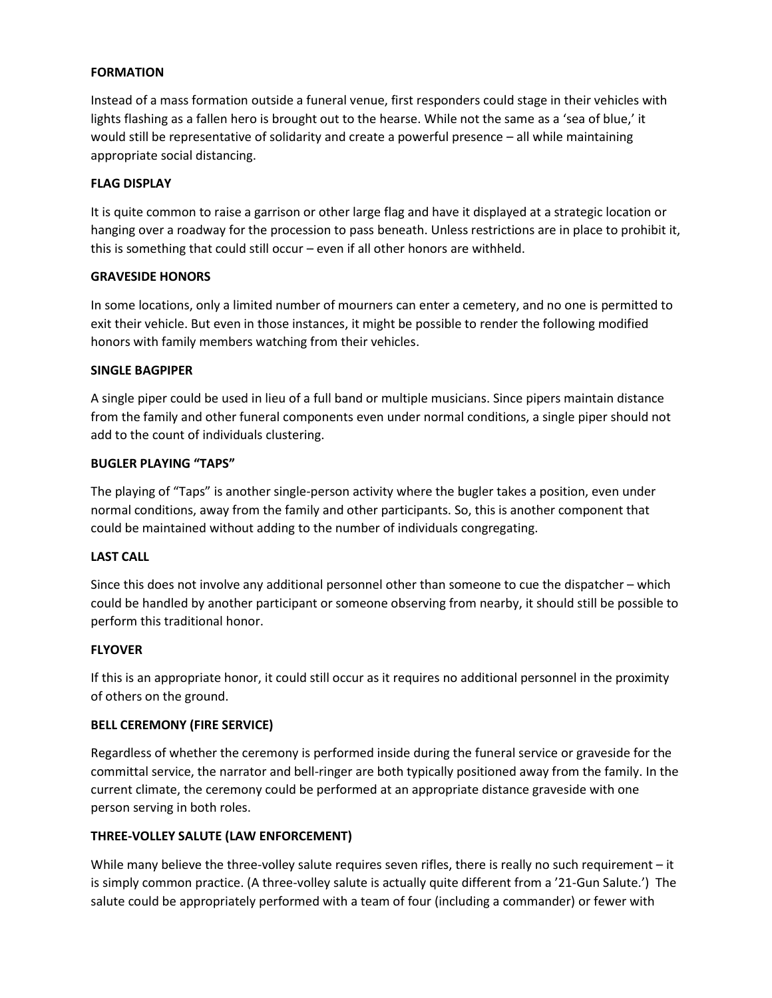# **FORMATION**

Instead of a mass formation outside a funeral venue, first responders could stage in their vehicles with lights flashing as a fallen hero is brought out to the hearse. While not the same as a 'sea of blue,' it would still be representative of solidarity and create a powerful presence – all while maintaining appropriate social distancing.

#### **FLAG DISPLAY**

It is quite common to raise a garrison or other large flag and have it displayed at a strategic location or hanging over a roadway for the procession to pass beneath. Unless restrictions are in place to prohibit it, this is something that could still occur – even if all other honors are withheld.

## **GRAVESIDE HONORS**

In some locations, only a limited number of mourners can enter a cemetery, and no one is permitted to exit their vehicle. But even in those instances, it might be possible to render the following modified honors with family members watching from their vehicles.

## **SINGLE BAGPIPER**

A single piper could be used in lieu of a full band or multiple musicians. Since pipers maintain distance from the family and other funeral components even under normal conditions, a single piper should not add to the count of individuals clustering.

## **BUGLER PLAYING "TAPS"**

The playing of "Taps" is another single-person activity where the bugler takes a position, even under normal conditions, away from the family and other participants. So, this is another component that could be maintained without adding to the number of individuals congregating.

#### **LAST CALL**

Since this does not involve any additional personnel other than someone to cue the dispatcher – which could be handled by another participant or someone observing from nearby, it should still be possible to perform this traditional honor.

## **FLYOVER**

If this is an appropriate honor, it could still occur as it requires no additional personnel in the proximity of others on the ground.

#### **BELL CEREMONY (FIRE SERVICE)**

Regardless of whether the ceremony is performed inside during the funeral service or graveside for the committal service, the narrator and bell-ringer are both typically positioned away from the family. In the current climate, the ceremony could be performed at an appropriate distance graveside with one person serving in both roles.

# **THREE-VOLLEY SALUTE (LAW ENFORCEMENT)**

While many believe the three-volley salute requires seven rifles, there is really no such requirement – it is simply common practice. (A three-volley salute is actually quite different from a '21-Gun Salute.') The salute could be appropriately performed with a team of four (including a commander) or fewer with